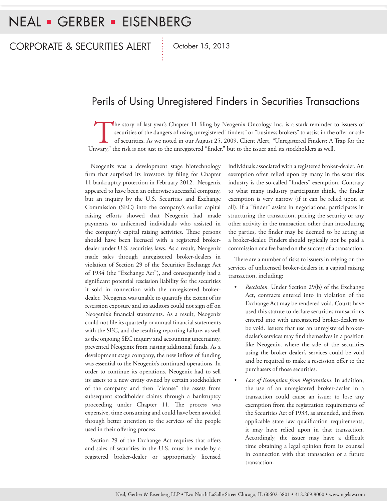## Perils of Using Unregistered Finders in Securities Transactions

The story of last year's Chapter 11 filing by Neogenix Oncology Inc. is a stark reminder to issuers of securities of the dangers of using unregistered "finders" or "business brokers" to assist in the offer or sale of securities. As we noted in our August 25, 2009, Client Alert, "Unregistered Finders: A Trap for the Unwary," the risk is not just to the unregistered "finder," but to the issuer and its stockholders as well.

Neogenix was a development stage biotechnology firm that surprised its investors by filing for Chapter 11 bankruptcy protection in February 2012. Neogenix appeared to have been an otherwise successful company, but an inquiry by the U.S. Securities and Exchange Commission (SEC) into the company's earlier capital raising efforts showed that Neogenix had made payments to unlicensed individuals who assisted in the company's capital raising activities. These persons should have been licensed with a registered brokerdealer under U.S. securities laws. As a result, Neogenix made sales through unregistered broker-dealers in violation of Section 29 of the Securities Exchange Act of 1934 (the "Exchange Act"), and consequently had a significant potential rescission liability for the securities it sold in connection with the unregistered brokerdealer. Neogenix was unable to quantify the extent of its rescission exposure and its auditors could not sign off on Neogenix's financial statements. As a result, Neogenix could not file its quarterly or annual financial statements with the SEC, and the resulting reporting failure, as well as the ongoing SEC inquiry and accounting uncertainty, prevented Neogenix from raising additional funds. As a development stage company, the new inflow of funding was essential to the Neogenix's continued operations. In order to continue its operations, Neogenix had to sell its assets to a new entity owned by certain stockholders of the company and then "cleanse" the assets from subsequent stockholder claims through a bankruptcy proceeding under Chapter 11. The process was expensive, time consuming and could have been avoided through better attention to the services of the people used in their offering process.

Section 29 of the Exchange Act requires that offers and sales of securities in the U.S. must be made by a registered broker-dealer or appropriately licensed individuals associated with a registered broker-dealer. An exemption often relied upon by many in the securities industry is the so-called "finders" exemption. Contrary to what many industry participants think, the finder exemption is very narrow (if it can be relied upon at all). If a "finder" assists in negotiations, participates in structuring the transaction, pricing the security or any other activity in the transaction other than introducing the parties, the finder may be deemed to be acting as a broker-dealer. Finders should typically not be paid a commission or a fee based on the success of a transaction.

There are a number of risks to issuers in relying on the services of unlicensed broker-dealers in a capital raising transaction, including:

- *Rescission.* Under Section 29(b) of the Exchange Act, contracts entered into in violation of the Exchange Act may be rendered void. Courts have used this statute to declare securities transactions entered into with unregistered broker-dealers to be void. Issuers that use an unregistered brokerdealer's services may find themselves in a position like Neogenix, where the sale of the securities using the broker dealer's services could be void and be required to make a rescission offer to the purchasers of those securities.
- *• Loss of Exemption from Registrations.* In addition, the use of an unregistered broker-dealer in a transaction could cause an issuer to lose any exemption from the registration requirements of the Securities Act of 1933, as amended, and from applicable state law qualification requirements, it may have relied upon in that transaction. Accordingly, the issuer may have a difficult time obtaining a legal opinion from its counsel in connection with that transaction or a future transaction.